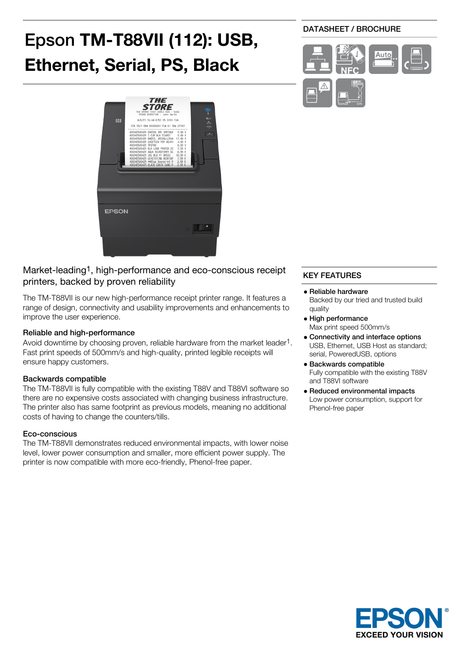# Epson **TM-T88VII (112): USB, Ethernet, Serial, PS, Black**



## Market-leading<sup>1</sup>, high-performance and eco-conscious receipt printers, backed by proven reliability

The TM-T88VII is our new high-performance receipt printer range. It features a range of design, connectivity and usability improvements and enhancements to improve the user experience.

## Reliable and high-performance

Avoid downtime by choosing proven, reliable hardware from the market leader1. Fast print speeds of 500mm/s and high-quality, printed legible receipts will ensure happy customers.

### Backwards compatible

The TM-T88VII is fully compatible with the existing T88V and T88VI software so there are no expensive costs associated with changing business infrastructure. The printer also has same footprint as previous models, meaning no additional costs of having to change the counters/tills.

### Eco-conscious

The TM-T88VII demonstrates reduced environmental impacts, with lower noise level, lower power consumption and smaller, more efficient power supply. The printer is now compatible with more eco-friendly, Phenol-free paper.

## DATASHEET / BROCHURE



## KEY FEATURES

- Reliable hardware Backed by our tried and trusted build quality
- High performance Max print speed 500mm/s
- Connectivity and interface options USB, Ethernet, USB Host as standard; serial, PoweredUSB, options
- Backwards compatible Fully compatible with the existing T88V and T88VI software
- Reduced environmental impacts Low power consumption, support for Phenol-free paper